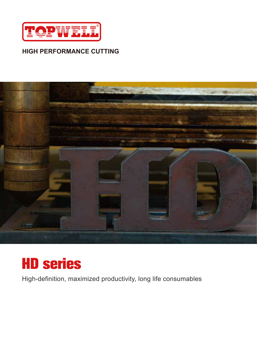

#### **HIGH PERFORMANCE CUTTING**





High-definition, maximized productivity, long life consumables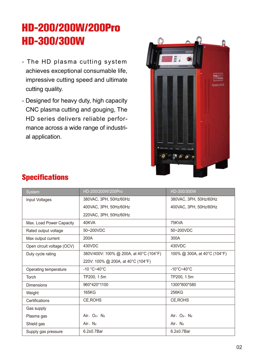# **HD-200/200W/200Pro HD-300/300W**

- The HD plasma cutting system achieves exceptional consumable life, impressive cutting speed and ultimate cutting quality.
- Designed for heavy duty, high capacity CNC plasma cutting and gouging, The HD series delivers reliable performance across a wide range of industrial application.



| <b>System</b>              | HD-200/200W/200Pro                      | HD-300/300W                     |
|----------------------------|-----------------------------------------|---------------------------------|
| Input Voltages             | 380VAC, 3PH, 50Hz/60Hz                  | 380VAC, 3PH, 50Hz/60Hz          |
|                            | 400VAC, 3PH, 50Hz/60Hz                  | 400VAC, 3PH, 50Hz/60Hz          |
|                            | 220VAC, 3PH, 50Hz/60Hz                  |                                 |
| Max. Load Power Capacity   | 40KVA                                   | 75KVA                           |
| Rated output voltage       | 50~200VDC                               | 50~200VDC                       |
| Max output current         | 200A                                    | 300A                            |
| Open circuit voltage (OCV) | 430VDC                                  | 430VDC                          |
| Duty cycle rating          | 380V/400V: 100% @ 200A, at 40°C (104°F) | 100% @ 300A, at 40°C (104°F)    |
|                            | 220V: 100% @ 200A, at 40°C (104°F)      |                                 |
| Operating temperature      | $-10 °C - 40 °C$                        | $-10^{\circ}$ C~40 $^{\circ}$ C |
| <b>Torch</b>               | TP200, 1.5m                             | TP200, 1.5m                     |
| <b>Dimensions</b>          | 960*420*1100                            | 1300*800*580                    |
| Weight                     | 165KG                                   | 256KG                           |
| Certifications             | CE, ROHS                                | CE, ROHS                        |
| Gas supply                 |                                         |                                 |
| Plasma gas                 | Air, $O_2$ , $N_2$                      | Air, $O_2$ , $N_2$              |
| Shield gas                 | Air, $N_2$                              | Air, $N_2$                      |
| Supply gas pressure        | $6.2\pm0.7$ Bar                         | $6.2\pm0.7$ Bar                 |

## **Specifications**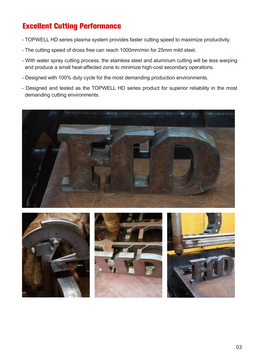## **Excellent Cutting Performance**

- TOPWELL HD series plasma system provides faster cutting speed to maximize productivity.
- The cutting speed of dross free can reach 1000mm/min for 25mm mild steel.
- With water spray cutting process, the stainless steel and aluminum cutting will be less warping and produce a small heat-affected zone to minimize high-cost secondary operations.
- Designed with 100% duty cycle for the most demanding production environments.
- Designed and tested as the TOPWELL HD series product for superior reliability in the most demanding cutting environments.







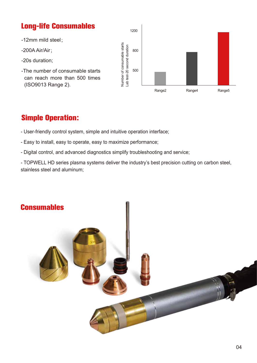#### **Long-life Consumables**

1200 -12mm mild steel; Number of consumable starts<br>Lab test-20 second duration Number of consumable starts Lab test-20 second duration-200A Air/Air; 800 -20s duration; -The number of consumable starts 500 can reach more than 500 times (ISO9013 Range 2). Range2 Range4 Range5

#### **Simple Operation:**

- User-friendly control system, simple and intuitive operation interface;
- Easy to install, easy to operate, easy to maximize performance;
- Digital control, and advanced diagnostics simplify troubleshooting and service;

- TOPWELL HD series plasma systems deliver the industry's best precision cutting on carbon steel, stainless steel and aluminum;

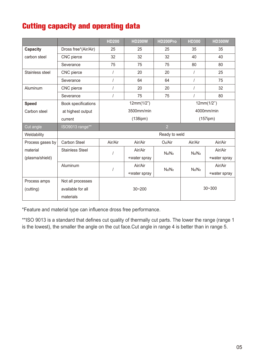## **Cutting capacity and operating data**

|                                |                        | <b>HD200</b>   | <b>HD200W</b> | HD200Pro            | <b>HD300</b>   | <b>HD300W</b> |  |
|--------------------------------|------------------------|----------------|---------------|---------------------|----------------|---------------|--|
| Capacity                       | Dross free*(Air/Air)   | 25             | 25            | 25                  | 35             | 35            |  |
| carbon steel                   | CNC pierce             | 32             | 32            | 32                  | 40             | 40            |  |
|                                | Severance              | 75             | 75            | 75                  | 80             | 80            |  |
| Stainless steel                | CNC pierce             | $\prime$       | 20            | 20                  | $\sqrt{2}$     | 25            |  |
|                                | Severance              |                | 64            | 64                  | $\sqrt{2}$     | 75            |  |
| Aluminum                       | CNC pierce             |                | 20            | 20                  | $\sqrt{2}$     | 32            |  |
|                                | Severance              |                | 75            | 75                  |                | 80            |  |
| <b>Speed</b>                   | Book specifications    | 12mm(1/2")     |               | 12mm(1/2")          |                |               |  |
| Carbon steel                   | at highest output      | 3500mm/min     |               | 4000mm/min          |                |               |  |
|                                | current                | $(138$ ipm $)$ |               |                     | $(157$ ipm $)$ |               |  |
| Cut angle                      | ISO9013 range**        | $\overline{2}$ |               |                     |                |               |  |
| Weldability                    |                        | Ready to weld  |               |                     |                |               |  |
| Process gases by               | Carbon Steel           | Air/Air        | Air/Air       | O <sub>2</sub> /Air | Air/Air        | Air/Air       |  |
| material                       | <b>Stainless Steel</b> |                | Air/Air       | $N_2/N_2$           | $N_2/N_2$      | Air/Air       |  |
| (plasma/shield)                |                        |                | +water spray  |                     |                | +water spray  |  |
|                                | Aluminum               |                | Air/Air       |                     | $N_2/N_2$      | Air/Air       |  |
|                                |                        |                | +water spray  | $N_2/N_2$           |                | +water spray  |  |
| Process amps                   | Not all processes      |                |               |                     |                |               |  |
| available for all<br>(cutting) |                        | $30 - 200$     |               | $30 - 300$          |                |               |  |
|                                | materials              |                |               |                     |                |               |  |

\*Feature and material type can influence dross free performance.

\*\*ISO 9013 is a standard that defines cut quality of thermally cut parts. The lower the range (range 1 is the lowest), the smaller the angle on the cut face.Cut angle in range 4 is better than in range 5.